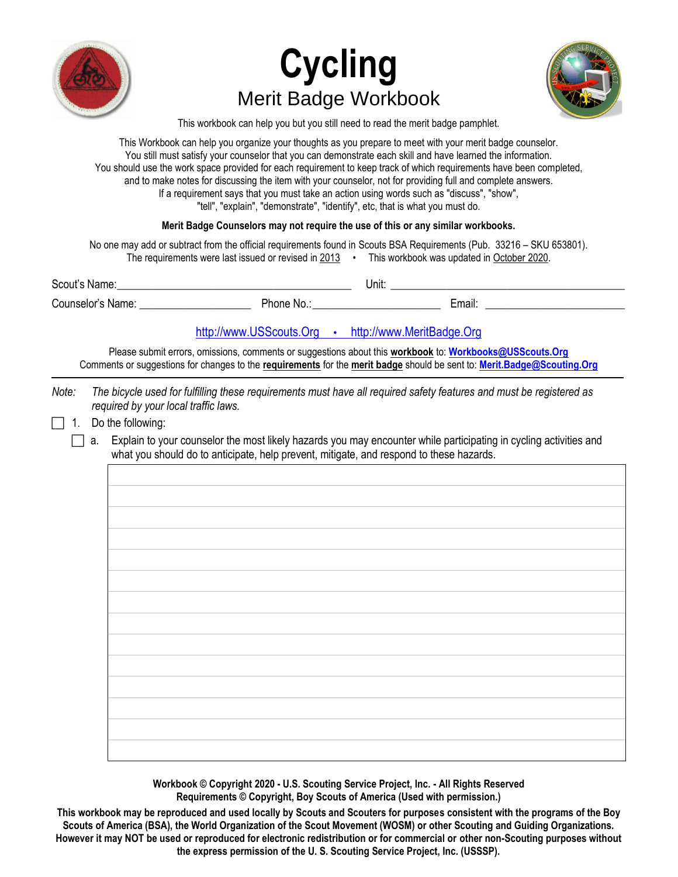





This workbook can help you but you still need to read the merit badge pamphlet.

This Workbook can help you organize your thoughts as you prepare to meet with your merit badge counselor. You still must satisfy your counselor that you can demonstrate each skill and have learned the information. You should use the work space provided for each requirement to keep track of which requirements have been completed, and to make notes for discussing the item with your counselor, not for providing full and complete answers. If a requirement says that you must take an action using words such as "discuss", "show", "tell", "explain", "demonstrate", "identify", etc, that is what you must do.

### **Merit Badge Counselors may not require the use of this or any similar workbooks.**

No one may add or subtract from the official requirements found in Scouts BSA Requirements (Pub. 33216 – SKU 653801). The requirements were last issued or revised in  $2013$  · This workbook was updated in October 2020.

| $\sim$<br>Scout<br>name | Unit: |
|-------------------------|-------|
|                         |       |

Counselor's Name: etc. And Thome No.: Email: Email: Email: Email: Email: Email: Email: Email: Email: Email: Email: Email: Email: Email: Email: Email: Email: Email: Email: Email: Email: Email: Email: Email: Email: Email: Em

### [http://www.USScouts.Org](http://www.usscouts.org/) • [http://www.MeritBadge.Org](http://www.meritbadge.org/)

Please submit errors, omissions, comments or suggestions about this **workbook** to: **[Workbooks@USScouts.Org](mailto:Workbooks@usscouts.org?subject=Merit%20Badge%20Workbooks)** Comments or suggestions for changes to the **requirements** for the **merit badge** should be sent to: **[Merit.Badge@Scouting.Org](mailto:merit.badge@scouting.org)**

*Note: The bicycle used for fulfilling these requirements must have all required safety features and must be registered as required by your local traffic laws.*

 $\Box$  1. Do the following:

 $\Box$  a. Explain to your counselor the most likely hazards you may encounter while participating in cycling activities and what you should do to anticipate, help prevent, mitigate, and respond to these hazards.

> **Workbook © Copyright 2020 - U.S. Scouting Service Project, Inc. - All Rights Reserved Requirements © Copyright, Boy Scouts of America (Used with permission.)**

**This workbook may be reproduced and used locally by Scouts and Scouters for purposes consistent with the programs of the Boy Scouts of America (BSA), the World Organization of the Scout Movement (WOSM) or other Scouting and Guiding Organizations. However it may NOT be used or reproduced for electronic redistribution or for commercial or other non-Scouting purposes without the express permission of the U. S. Scouting Service Project, Inc. (USSSP).**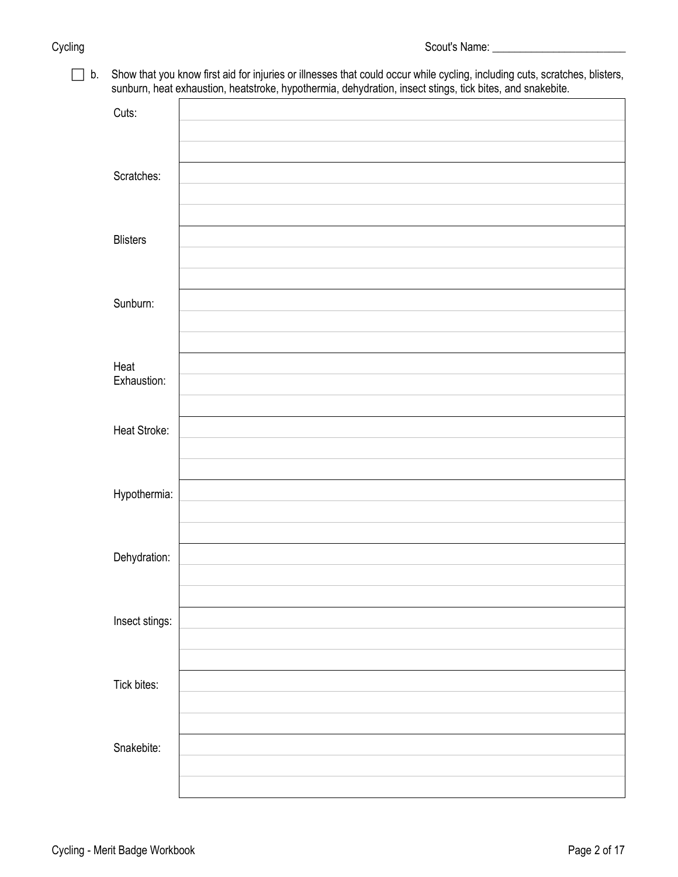b. Show that you know first aid for injuries or illnesses that could occur while cycling, including cuts, scratches, blisters, sunburn, heat exhaustion, heatstroke, hypothermia, dehydration, insect stings, tick bites, and snakebite.

|                 | . . |
|-----------------|-----|
| Cuts:           |     |
|                 |     |
| Scratches:      |     |
|                 |     |
| <b>Blisters</b> |     |
|                 |     |
| Sunburn:        |     |
|                 |     |
| Heat            |     |
| Exhaustion:     |     |
|                 |     |
| Heat Stroke:    |     |
|                 |     |
| Hypothermia:    |     |
|                 |     |
| Dehydration:    |     |
|                 |     |
| Insect stings:  |     |
|                 |     |
| Tick bites:     |     |
|                 |     |
| Snakebite:      |     |
|                 |     |
|                 |     |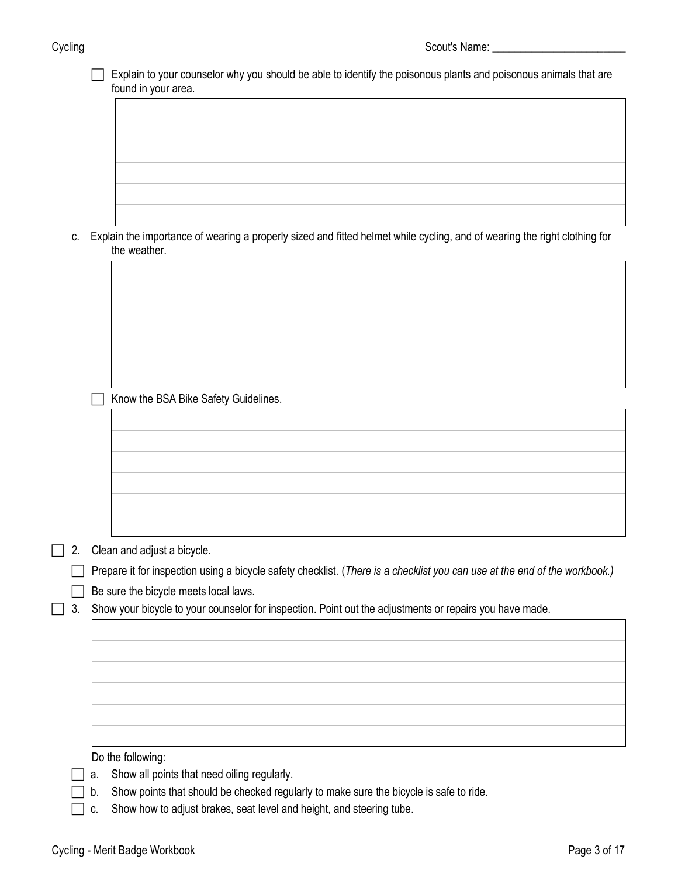| vclina |
|--------|
|        |

|    |    | Explain to your counselor why you should be able to identify the poisonous plants and poisonous animals that are<br>found in your area. |
|----|----|-----------------------------------------------------------------------------------------------------------------------------------------|
|    |    |                                                                                                                                         |
|    |    |                                                                                                                                         |
|    |    |                                                                                                                                         |
|    |    |                                                                                                                                         |
|    |    |                                                                                                                                         |
|    |    |                                                                                                                                         |
|    |    |                                                                                                                                         |
| c. |    | Explain the importance of wearing a properly sized and fitted helmet while cycling, and of wearing the right clothing for               |
|    |    | the weather.                                                                                                                            |
|    |    |                                                                                                                                         |
|    |    |                                                                                                                                         |
|    |    |                                                                                                                                         |
|    |    |                                                                                                                                         |
|    |    |                                                                                                                                         |
|    |    |                                                                                                                                         |
|    |    |                                                                                                                                         |
|    |    |                                                                                                                                         |
|    |    | Know the BSA Bike Safety Guidelines.                                                                                                    |
|    |    |                                                                                                                                         |
|    |    |                                                                                                                                         |
|    |    |                                                                                                                                         |
|    |    |                                                                                                                                         |
|    |    |                                                                                                                                         |
|    |    |                                                                                                                                         |
|    |    |                                                                                                                                         |
|    |    |                                                                                                                                         |
| 2. |    | Clean and adjust a bicycle.                                                                                                             |
|    |    | Prepare it for inspection using a bicycle safety checklist. (There is a checklist you can use at the end of the workbook.)              |
|    |    | Be sure the bicycle meets local laws.                                                                                                   |
| 3. |    | Show your bicycle to your counselor for inspection. Point out the adjustments or repairs you have made.                                 |
|    |    |                                                                                                                                         |
|    |    |                                                                                                                                         |
|    |    |                                                                                                                                         |
|    |    |                                                                                                                                         |
|    |    |                                                                                                                                         |
|    |    |                                                                                                                                         |
|    |    |                                                                                                                                         |
|    |    |                                                                                                                                         |
|    |    | Do the following:                                                                                                                       |
|    | а. | Show all points that need oiling regularly.                                                                                             |
|    | b. | Show points that should be checked regularly to make sure the bicycle is safe to ride.                                                  |

c. Show how to adjust brakes, seat level and height, and steering tube.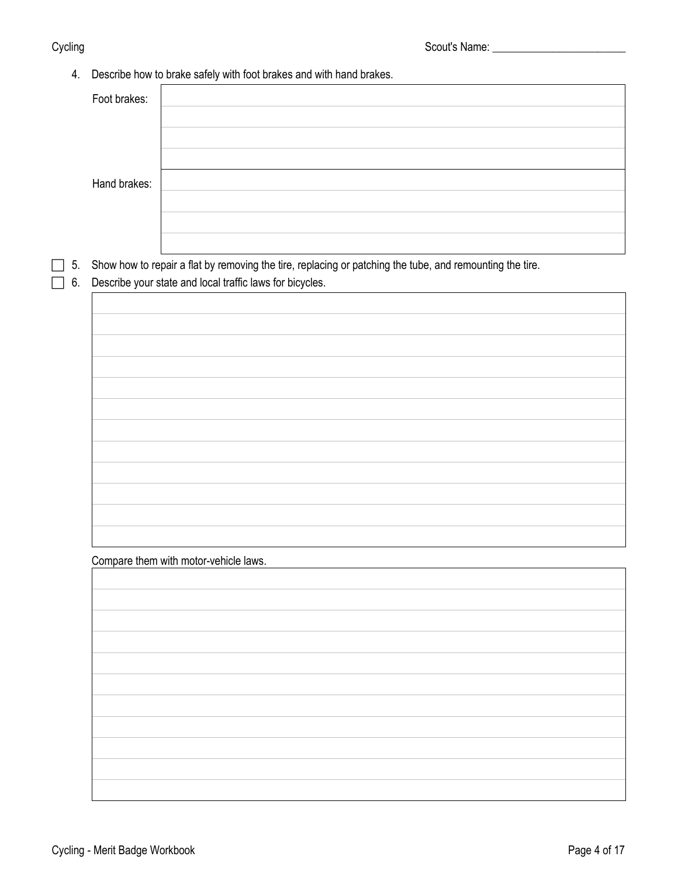## 4. Describe how to brake safely with foot brakes and with hand brakes.

5. Show how to repair a flat by removing the tire, replacing or patching the tube, and remounting the tire.

6. Describe your state and local traffic laws for bicycles.

Compare them with motor-vehicle laws.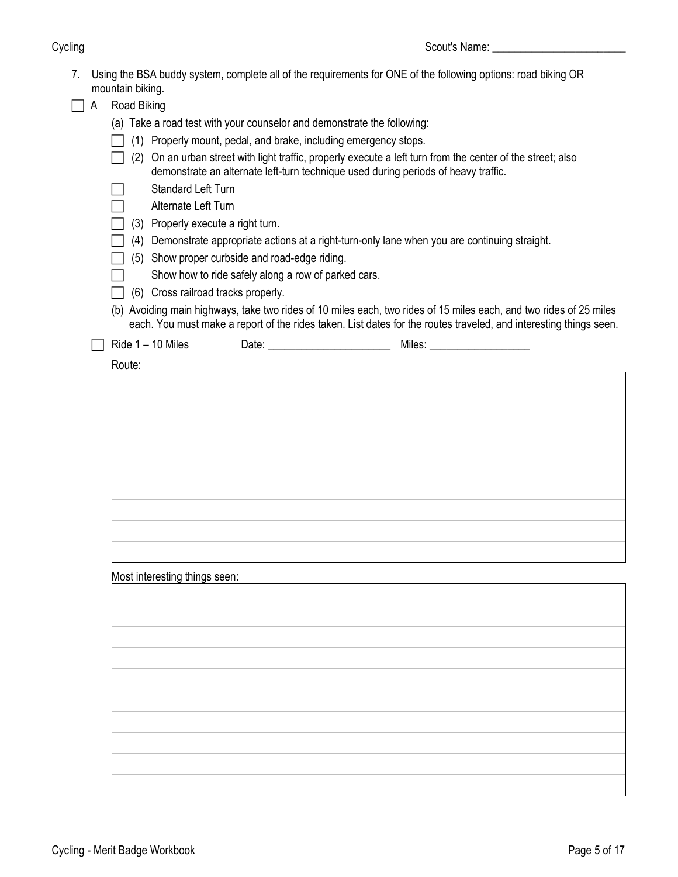| 7. |   | Using the BSA buddy system, complete all of the requirements for ONE of the following options: road biking OR<br>mountain biking.                                                                                                                                                                                                                                                                                                                               |
|----|---|-----------------------------------------------------------------------------------------------------------------------------------------------------------------------------------------------------------------------------------------------------------------------------------------------------------------------------------------------------------------------------------------------------------------------------------------------------------------|
|    | A | Road Biking                                                                                                                                                                                                                                                                                                                                                                                                                                                     |
|    |   | (a) Take a road test with your counselor and demonstrate the following:<br>(1) Properly mount, pedal, and brake, including emergency stops.<br>On an urban street with light traffic, properly execute a left turn from the center of the street; also<br>(2)<br>demonstrate an alternate left-turn technique used during periods of heavy traffic.                                                                                                             |
|    |   | <b>Standard Left Turn</b><br>Alternate Left Turn<br>(3) Properly execute a right turn.<br>(4) Demonstrate appropriate actions at a right-turn-only lane when you are continuing straight.<br>(5) Show proper curbside and road-edge riding.<br>Show how to ride safely along a row of parked cars.<br>(6) Cross railroad tracks properly.<br>(b) Avoiding main highways, take two rides of 10 miles each, two rides of 15 miles each, and two rides of 25 miles |
|    |   | each. You must make a report of the rides taken. List dates for the routes traveled, and interesting things seen.                                                                                                                                                                                                                                                                                                                                               |
|    |   | Ride $1 - 10$ Miles                                                                                                                                                                                                                                                                                                                                                                                                                                             |
|    |   |                                                                                                                                                                                                                                                                                                                                                                                                                                                                 |
|    |   | Most interesting things seen:                                                                                                                                                                                                                                                                                                                                                                                                                                   |
|    |   |                                                                                                                                                                                                                                                                                                                                                                                                                                                                 |
|    |   |                                                                                                                                                                                                                                                                                                                                                                                                                                                                 |
|    |   |                                                                                                                                                                                                                                                                                                                                                                                                                                                                 |
|    |   |                                                                                                                                                                                                                                                                                                                                                                                                                                                                 |
|    |   |                                                                                                                                                                                                                                                                                                                                                                                                                                                                 |
|    |   |                                                                                                                                                                                                                                                                                                                                                                                                                                                                 |
|    |   |                                                                                                                                                                                                                                                                                                                                                                                                                                                                 |
|    |   |                                                                                                                                                                                                                                                                                                                                                                                                                                                                 |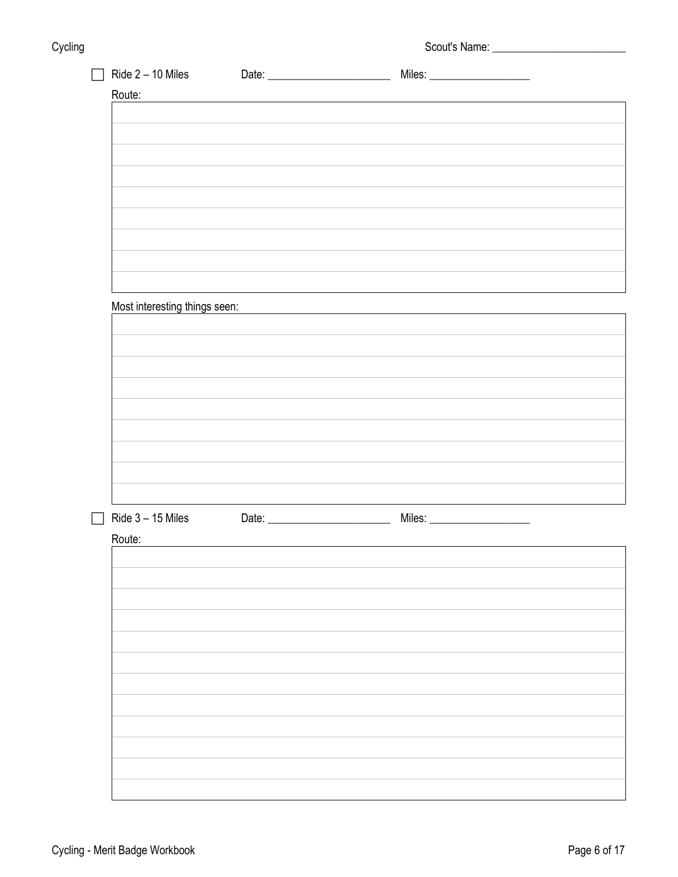| Scout's Name: |
|---------------|
|               |

| Ride $2 - 10$ Miles           |                                                                    |  |
|-------------------------------|--------------------------------------------------------------------|--|
| Route:                        |                                                                    |  |
|                               |                                                                    |  |
|                               |                                                                    |  |
|                               |                                                                    |  |
|                               |                                                                    |  |
|                               |                                                                    |  |
|                               |                                                                    |  |
|                               |                                                                    |  |
|                               |                                                                    |  |
|                               |                                                                    |  |
|                               |                                                                    |  |
|                               |                                                                    |  |
|                               |                                                                    |  |
| Most interesting things seen: | <u> 1980 - Jan Samuel Barbara, margaret eta idazlea (h. 1980).</u> |  |
|                               |                                                                    |  |
|                               |                                                                    |  |
|                               |                                                                    |  |
|                               |                                                                    |  |
|                               |                                                                    |  |
|                               |                                                                    |  |
|                               |                                                                    |  |
|                               |                                                                    |  |
|                               |                                                                    |  |
|                               |                                                                    |  |
|                               |                                                                    |  |
| Ride $3 - 15$ Miles           |                                                                    |  |
| Route:                        |                                                                    |  |
|                               |                                                                    |  |
|                               |                                                                    |  |
|                               |                                                                    |  |
|                               |                                                                    |  |
|                               |                                                                    |  |
|                               |                                                                    |  |
|                               |                                                                    |  |
|                               |                                                                    |  |
|                               |                                                                    |  |
|                               |                                                                    |  |
|                               |                                                                    |  |
|                               |                                                                    |  |
|                               |                                                                    |  |
|                               |                                                                    |  |
|                               |                                                                    |  |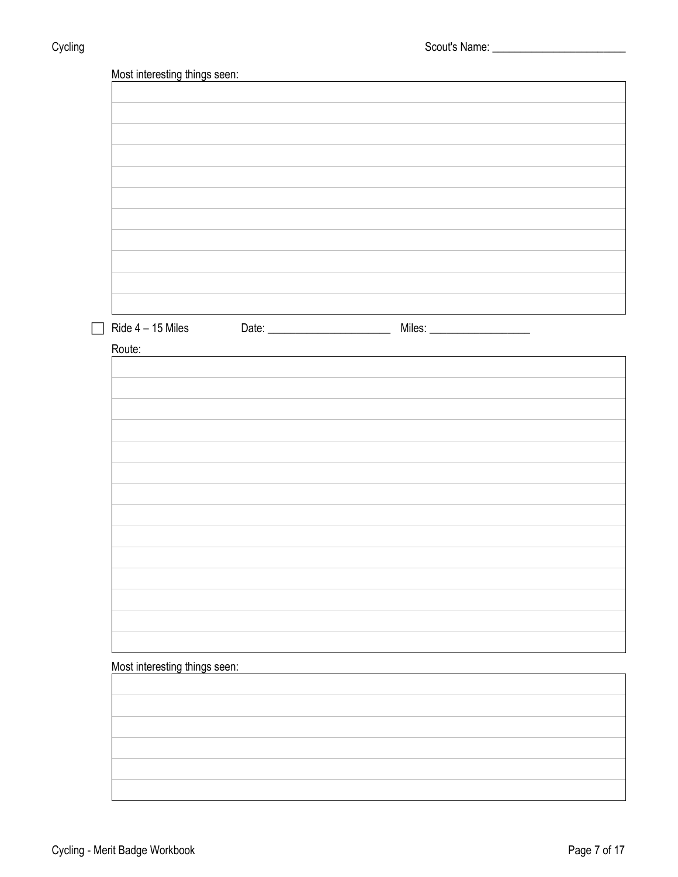| Ride $4 - 15$ Miles           |  |  |
|-------------------------------|--|--|
| Route:                        |  |  |
|                               |  |  |
|                               |  |  |
|                               |  |  |
|                               |  |  |
|                               |  |  |
|                               |  |  |
|                               |  |  |
|                               |  |  |
|                               |  |  |
|                               |  |  |
|                               |  |  |
|                               |  |  |
|                               |  |  |
|                               |  |  |
|                               |  |  |
|                               |  |  |
|                               |  |  |
| Most interesting things seen: |  |  |
|                               |  |  |
|                               |  |  |
|                               |  |  |
|                               |  |  |
|                               |  |  |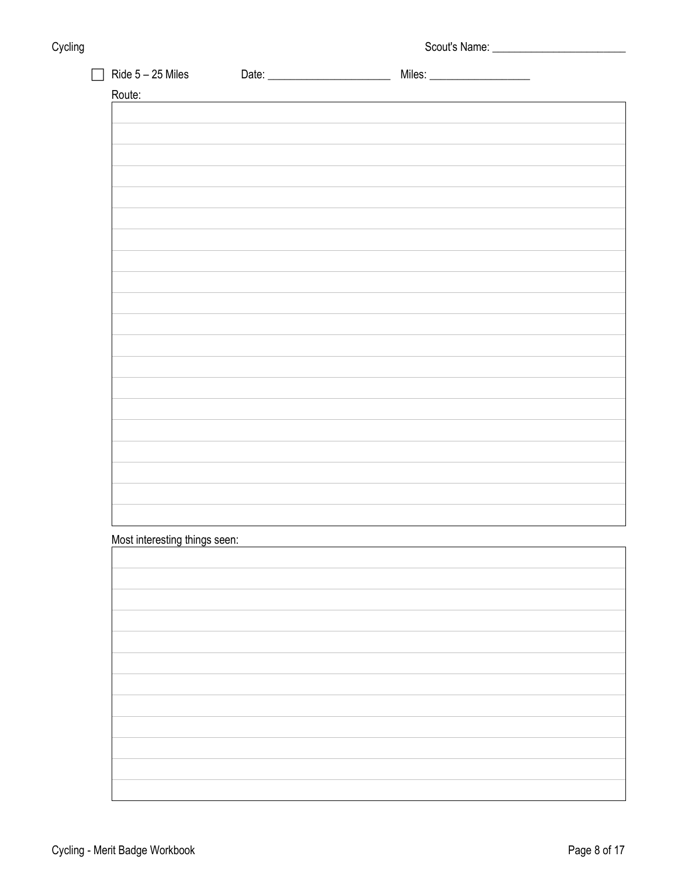| Cycling | - 3 | Scout's Name: |
|---------|-----|---------------|
|         |     |               |

| Ride $5 - 25$ Miles           |  |  |
|-------------------------------|--|--|
| Route:                        |  |  |
|                               |  |  |
|                               |  |  |
|                               |  |  |
|                               |  |  |
|                               |  |  |
|                               |  |  |
|                               |  |  |
|                               |  |  |
|                               |  |  |
|                               |  |  |
|                               |  |  |
|                               |  |  |
|                               |  |  |
|                               |  |  |
|                               |  |  |
|                               |  |  |
|                               |  |  |
|                               |  |  |
|                               |  |  |
|                               |  |  |
|                               |  |  |
|                               |  |  |
|                               |  |  |
|                               |  |  |
| Most interesting things seen: |  |  |
|                               |  |  |
|                               |  |  |
|                               |  |  |
|                               |  |  |
|                               |  |  |
|                               |  |  |
|                               |  |  |
|                               |  |  |
|                               |  |  |
|                               |  |  |
|                               |  |  |
|                               |  |  |
|                               |  |  |
|                               |  |  |
|                               |  |  |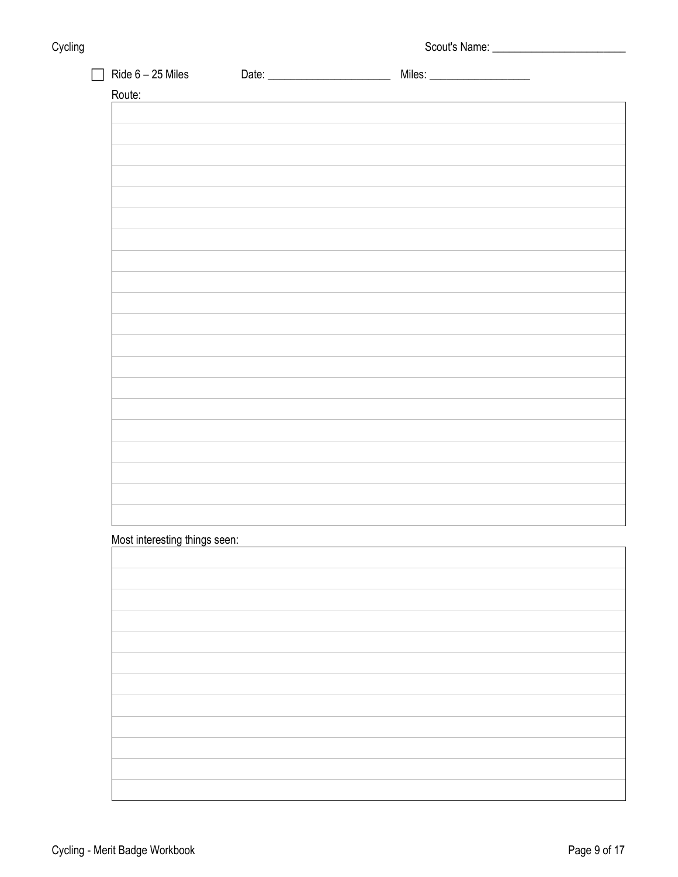| Cycling | - 3 | Scout's Name: |
|---------|-----|---------------|
|         |     |               |

| Route:                        |  |  |
|-------------------------------|--|--|
|                               |  |  |
|                               |  |  |
|                               |  |  |
|                               |  |  |
|                               |  |  |
|                               |  |  |
|                               |  |  |
|                               |  |  |
|                               |  |  |
|                               |  |  |
|                               |  |  |
|                               |  |  |
|                               |  |  |
|                               |  |  |
|                               |  |  |
|                               |  |  |
|                               |  |  |
|                               |  |  |
|                               |  |  |
|                               |  |  |
|                               |  |  |
|                               |  |  |
|                               |  |  |
|                               |  |  |
|                               |  |  |
|                               |  |  |
|                               |  |  |
|                               |  |  |
|                               |  |  |
|                               |  |  |
|                               |  |  |
|                               |  |  |
|                               |  |  |
|                               |  |  |
|                               |  |  |
|                               |  |  |
|                               |  |  |
|                               |  |  |
|                               |  |  |
| Most interesting things seen: |  |  |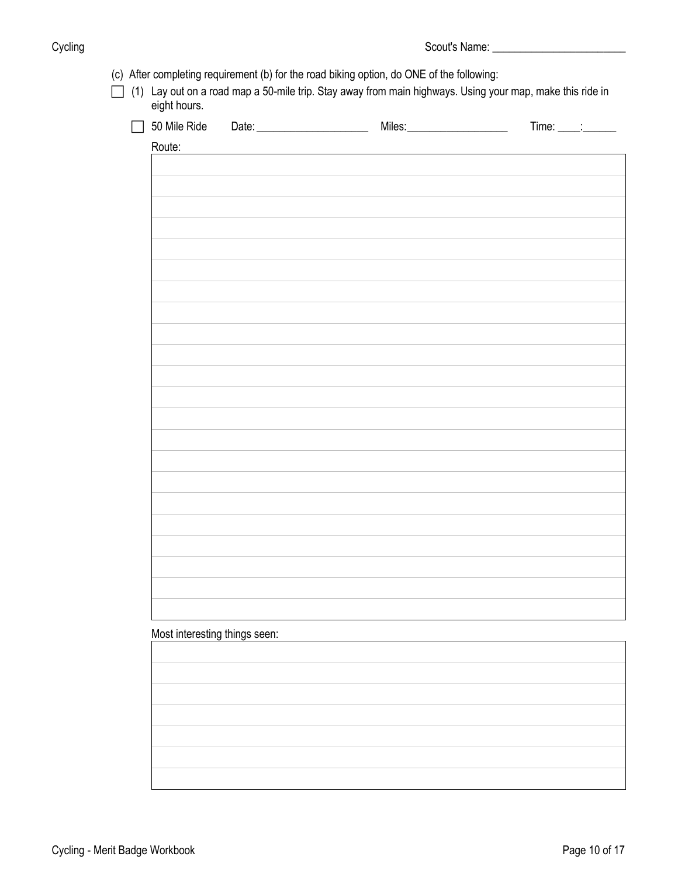| 50 Mile Ride                  |  | $Time: \underline{\qquad \qquad }$ |
|-------------------------------|--|------------------------------------|
| Route:                        |  |                                    |
|                               |  |                                    |
|                               |  |                                    |
|                               |  |                                    |
|                               |  |                                    |
|                               |  |                                    |
|                               |  |                                    |
|                               |  |                                    |
|                               |  |                                    |
|                               |  |                                    |
|                               |  |                                    |
|                               |  |                                    |
|                               |  |                                    |
|                               |  |                                    |
|                               |  |                                    |
|                               |  |                                    |
|                               |  |                                    |
|                               |  |                                    |
|                               |  |                                    |
|                               |  |                                    |
|                               |  |                                    |
|                               |  |                                    |
|                               |  |                                    |
|                               |  |                                    |
|                               |  |                                    |
|                               |  |                                    |
|                               |  |                                    |
|                               |  |                                    |
|                               |  |                                    |
| Most interesting things seen: |  |                                    |
|                               |  |                                    |
|                               |  |                                    |
|                               |  |                                    |
|                               |  |                                    |
|                               |  |                                    |
|                               |  |                                    |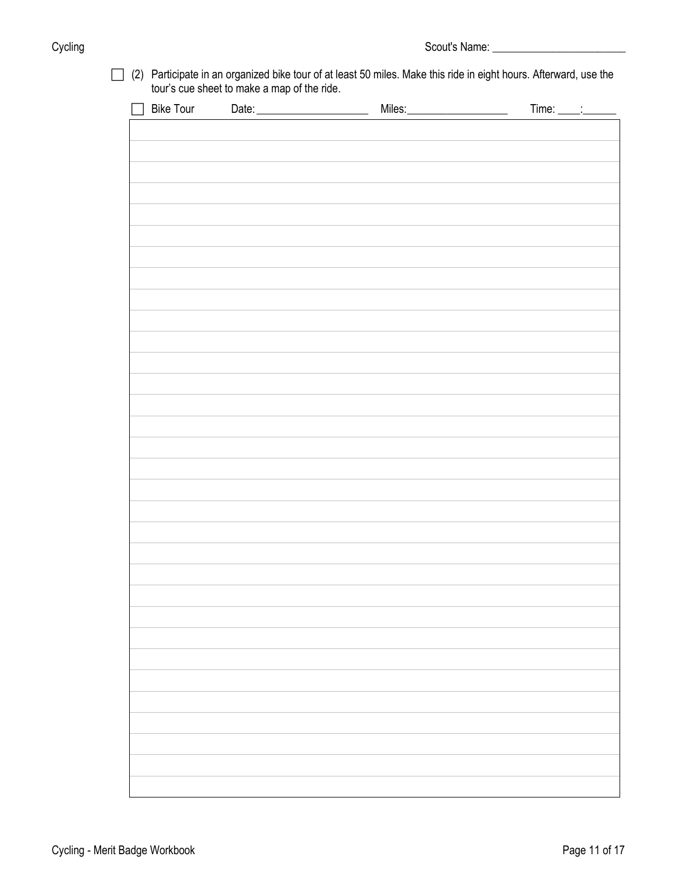Cycling Cycling Cycling Cycling Cycling Cycling Cycling Cycling Cycling Cycling Cycling Cycling Cycling Cyclin

|  | $\Box$ (2) Participate in an organized bike tour of at least 50 miles. Make this ride in eight hours. Afterward, use the |
|--|--------------------------------------------------------------------------------------------------------------------------|
|  | tour's cue sheet to make a map of the ride.                                                                              |

| □ Bike Tour Date: __________________ | Miles: | Time: $\frac{1}{\sqrt{1-\frac{1}{2}}}\cdot\frac{1}{\sqrt{1-\frac{1}{2}}}\cdot\frac{1}{\sqrt{1-\frac{1}{2}}}\cdot\frac{1}{\sqrt{1-\frac{1}{2}}}\cdot\frac{1}{\sqrt{1-\frac{1}{2}}}\cdot\frac{1}{\sqrt{1-\frac{1}{2}}}\cdot\frac{1}{\sqrt{1-\frac{1}{2}}}\cdot\frac{1}{\sqrt{1-\frac{1}{2}}}\cdot\frac{1}{\sqrt{1-\frac{1}{2}}}\cdot\frac{1}{\sqrt{1-\frac{1}{2}}}\cdot\frac{1}{\sqrt{1-\frac{1}{2}}}\cdot\frac{1}{\sqrt{1-\frac{1}{2}}$ |
|--------------------------------------|--------|----------------------------------------------------------------------------------------------------------------------------------------------------------------------------------------------------------------------------------------------------------------------------------------------------------------------------------------------------------------------------------------------------------------------------------------|
|                                      |        |                                                                                                                                                                                                                                                                                                                                                                                                                                        |
|                                      |        |                                                                                                                                                                                                                                                                                                                                                                                                                                        |
|                                      |        |                                                                                                                                                                                                                                                                                                                                                                                                                                        |
|                                      |        |                                                                                                                                                                                                                                                                                                                                                                                                                                        |
|                                      |        |                                                                                                                                                                                                                                                                                                                                                                                                                                        |
|                                      |        |                                                                                                                                                                                                                                                                                                                                                                                                                                        |
|                                      |        |                                                                                                                                                                                                                                                                                                                                                                                                                                        |
|                                      |        |                                                                                                                                                                                                                                                                                                                                                                                                                                        |
|                                      |        |                                                                                                                                                                                                                                                                                                                                                                                                                                        |
|                                      |        |                                                                                                                                                                                                                                                                                                                                                                                                                                        |
|                                      |        |                                                                                                                                                                                                                                                                                                                                                                                                                                        |
|                                      |        |                                                                                                                                                                                                                                                                                                                                                                                                                                        |
|                                      |        |                                                                                                                                                                                                                                                                                                                                                                                                                                        |
|                                      |        |                                                                                                                                                                                                                                                                                                                                                                                                                                        |
|                                      |        |                                                                                                                                                                                                                                                                                                                                                                                                                                        |
|                                      |        |                                                                                                                                                                                                                                                                                                                                                                                                                                        |
|                                      |        |                                                                                                                                                                                                                                                                                                                                                                                                                                        |
|                                      |        |                                                                                                                                                                                                                                                                                                                                                                                                                                        |
|                                      |        |                                                                                                                                                                                                                                                                                                                                                                                                                                        |
|                                      |        |                                                                                                                                                                                                                                                                                                                                                                                                                                        |
|                                      |        |                                                                                                                                                                                                                                                                                                                                                                                                                                        |
|                                      |        |                                                                                                                                                                                                                                                                                                                                                                                                                                        |
|                                      |        |                                                                                                                                                                                                                                                                                                                                                                                                                                        |
|                                      |        |                                                                                                                                                                                                                                                                                                                                                                                                                                        |
|                                      |        |                                                                                                                                                                                                                                                                                                                                                                                                                                        |
|                                      |        |                                                                                                                                                                                                                                                                                                                                                                                                                                        |
|                                      |        |                                                                                                                                                                                                                                                                                                                                                                                                                                        |
|                                      |        |                                                                                                                                                                                                                                                                                                                                                                                                                                        |
|                                      |        |                                                                                                                                                                                                                                                                                                                                                                                                                                        |
|                                      |        |                                                                                                                                                                                                                                                                                                                                                                                                                                        |
|                                      |        |                                                                                                                                                                                                                                                                                                                                                                                                                                        |
|                                      |        |                                                                                                                                                                                                                                                                                                                                                                                                                                        |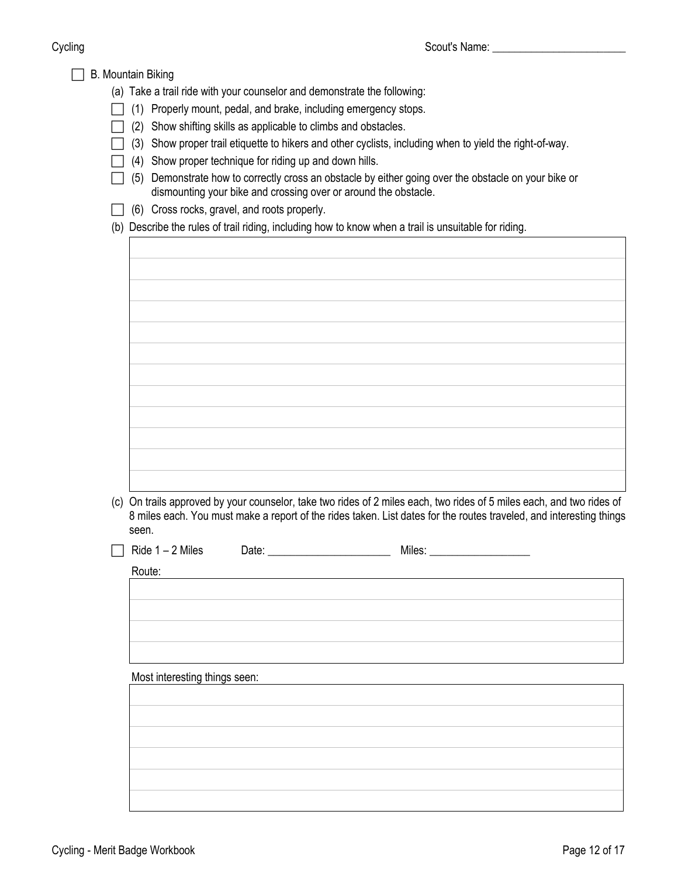| <b>B. Mountain Biking</b><br>(a) Take a trail ride with your counselor and demonstrate the following:<br>(1) Properly mount, pedal, and brake, including emergency stops.<br>Show shifting skills as applicable to climbs and obstacles.<br>(2)<br>(3) Show proper trail etiquette to hikers and other cyclists, including when to yield the right-of-way.<br>(4) Show proper technique for riding up and down hills.<br>Demonstrate how to correctly cross an obstacle by either going over the obstacle on your bike or<br>(5)<br>dismounting your bike and crossing over or around the obstacle.<br>(6) Cross rocks, gravel, and roots properly.<br>(b) Describe the rules of trail riding, including how to know when a trail is unsuitable for riding. |
|-------------------------------------------------------------------------------------------------------------------------------------------------------------------------------------------------------------------------------------------------------------------------------------------------------------------------------------------------------------------------------------------------------------------------------------------------------------------------------------------------------------------------------------------------------------------------------------------------------------------------------------------------------------------------------------------------------------------------------------------------------------|
|                                                                                                                                                                                                                                                                                                                                                                                                                                                                                                                                                                                                                                                                                                                                                             |
| (c) On trails approved by your counselor, take two rides of 2 miles each, two rides of 5 miles each, and two rides of<br>8 miles each. You must make a report of the rides taken. List dates for the routes traveled, and interesting things<br>seen.                                                                                                                                                                                                                                                                                                                                                                                                                                                                                                       |
| Ride $1 - 2$ Miles<br>Date:<br>Miles:<br>Route:<br>Most interesting things seen:                                                                                                                                                                                                                                                                                                                                                                                                                                                                                                                                                                                                                                                                            |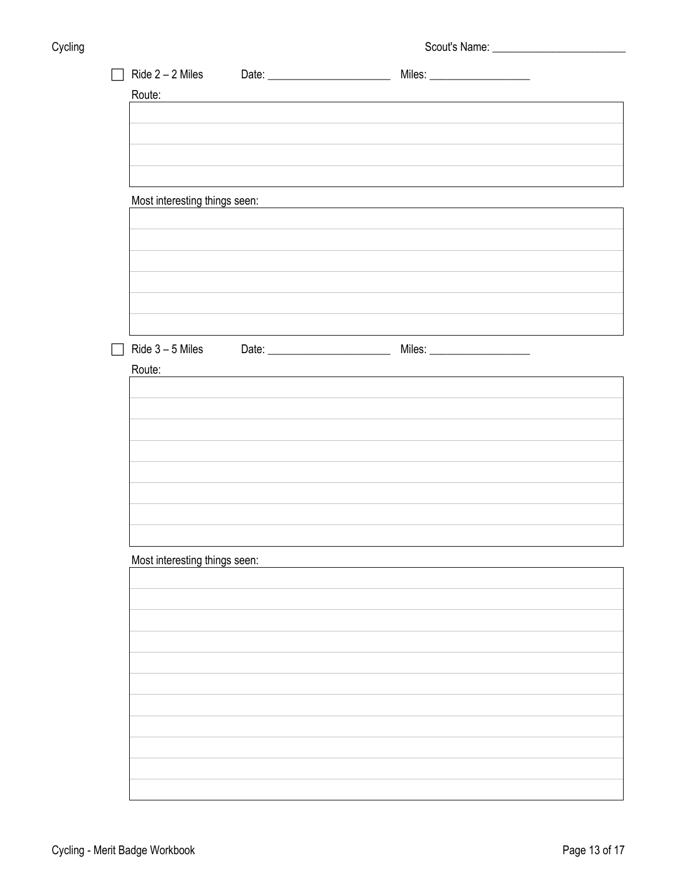| Cycling | - 3 | Scout's Name: |
|---------|-----|---------------|
|         |     |               |

| Ride $2 - 2$ Miles            |                                                                                                                 |                                                                                                                       |  |
|-------------------------------|-----------------------------------------------------------------------------------------------------------------|-----------------------------------------------------------------------------------------------------------------------|--|
| Route:                        | the contract of the contract of the contract of the contract of the contract of the contract of the contract of |                                                                                                                       |  |
|                               |                                                                                                                 |                                                                                                                       |  |
|                               |                                                                                                                 |                                                                                                                       |  |
|                               |                                                                                                                 |                                                                                                                       |  |
|                               |                                                                                                                 |                                                                                                                       |  |
|                               |                                                                                                                 |                                                                                                                       |  |
| Most interesting things seen: |                                                                                                                 | <u> 1980 - Johann Barn, mars ann an t-Amhain Aonaichte ann an t-Aonaichte ann an t-Aonaichte ann an t-Aonaichte a</u> |  |
|                               |                                                                                                                 |                                                                                                                       |  |
|                               |                                                                                                                 |                                                                                                                       |  |
|                               |                                                                                                                 |                                                                                                                       |  |
|                               |                                                                                                                 |                                                                                                                       |  |
|                               |                                                                                                                 |                                                                                                                       |  |
|                               |                                                                                                                 |                                                                                                                       |  |
|                               |                                                                                                                 |                                                                                                                       |  |
| Ride $3 - 5$ Miles            |                                                                                                                 |                                                                                                                       |  |
| Route:                        |                                                                                                                 |                                                                                                                       |  |
|                               |                                                                                                                 |                                                                                                                       |  |
|                               |                                                                                                                 |                                                                                                                       |  |
|                               |                                                                                                                 |                                                                                                                       |  |
|                               |                                                                                                                 |                                                                                                                       |  |
|                               |                                                                                                                 |                                                                                                                       |  |
|                               |                                                                                                                 |                                                                                                                       |  |
|                               |                                                                                                                 |                                                                                                                       |  |
|                               |                                                                                                                 |                                                                                                                       |  |
|                               |                                                                                                                 |                                                                                                                       |  |
| Most interesting things seen: |                                                                                                                 |                                                                                                                       |  |
|                               |                                                                                                                 |                                                                                                                       |  |
|                               |                                                                                                                 |                                                                                                                       |  |
|                               |                                                                                                                 |                                                                                                                       |  |
|                               |                                                                                                                 |                                                                                                                       |  |
|                               |                                                                                                                 |                                                                                                                       |  |
|                               |                                                                                                                 |                                                                                                                       |  |
|                               |                                                                                                                 |                                                                                                                       |  |
|                               |                                                                                                                 |                                                                                                                       |  |
|                               |                                                                                                                 |                                                                                                                       |  |
|                               |                                                                                                                 |                                                                                                                       |  |
|                               |                                                                                                                 |                                                                                                                       |  |
|                               |                                                                                                                 |                                                                                                                       |  |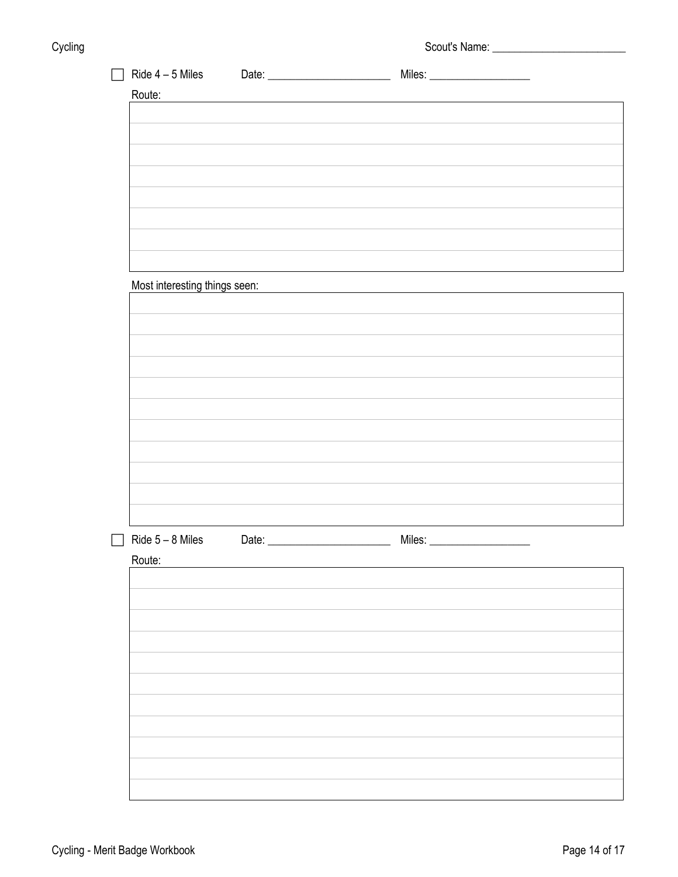Cycling Cycling Cycling Cycling Cycling Cycling Cycling Cycling Cycling Cycling Cycling Cycling Cycling Cyclin

| $\Box$ | Ride 4 - 5 Miles Date: <u>Date: Niles: Niles: Niles: Niles: Niles: Niles: Niles: Niles: Niles: Niles: Niles: Niles: Niles: Niles: Niles: Niles: Niles: Niles: Niles: Niles: Niles: Niles: Niles: Niles: Niles: Niles: Niles: Nil</u> |  |
|--------|--------------------------------------------------------------------------------------------------------------------------------------------------------------------------------------------------------------------------------------|--|
| Route: | <u> 1980 - Jan Sterling, amerikansk politiker (d. 1980)</u>                                                                                                                                                                          |  |
|        |                                                                                                                                                                                                                                      |  |
|        |                                                                                                                                                                                                                                      |  |
|        |                                                                                                                                                                                                                                      |  |
|        |                                                                                                                                                                                                                                      |  |
|        |                                                                                                                                                                                                                                      |  |
|        |                                                                                                                                                                                                                                      |  |
|        |                                                                                                                                                                                                                                      |  |
|        |                                                                                                                                                                                                                                      |  |
|        | Most interesting things seen: Most interesting things seen:                                                                                                                                                                          |  |
|        |                                                                                                                                                                                                                                      |  |
|        |                                                                                                                                                                                                                                      |  |
|        |                                                                                                                                                                                                                                      |  |
|        |                                                                                                                                                                                                                                      |  |
|        |                                                                                                                                                                                                                                      |  |
|        |                                                                                                                                                                                                                                      |  |
|        |                                                                                                                                                                                                                                      |  |
|        |                                                                                                                                                                                                                                      |  |
|        |                                                                                                                                                                                                                                      |  |
|        |                                                                                                                                                                                                                                      |  |
|        |                                                                                                                                                                                                                                      |  |
|        |                                                                                                                                                                                                                                      |  |
| Route: |                                                                                                                                                                                                                                      |  |
|        |                                                                                                                                                                                                                                      |  |
|        |                                                                                                                                                                                                                                      |  |
|        |                                                                                                                                                                                                                                      |  |
|        |                                                                                                                                                                                                                                      |  |
|        |                                                                                                                                                                                                                                      |  |
|        |                                                                                                                                                                                                                                      |  |
|        |                                                                                                                                                                                                                                      |  |
|        |                                                                                                                                                                                                                                      |  |
|        |                                                                                                                                                                                                                                      |  |
|        |                                                                                                                                                                                                                                      |  |
|        |                                                                                                                                                                                                                                      |  |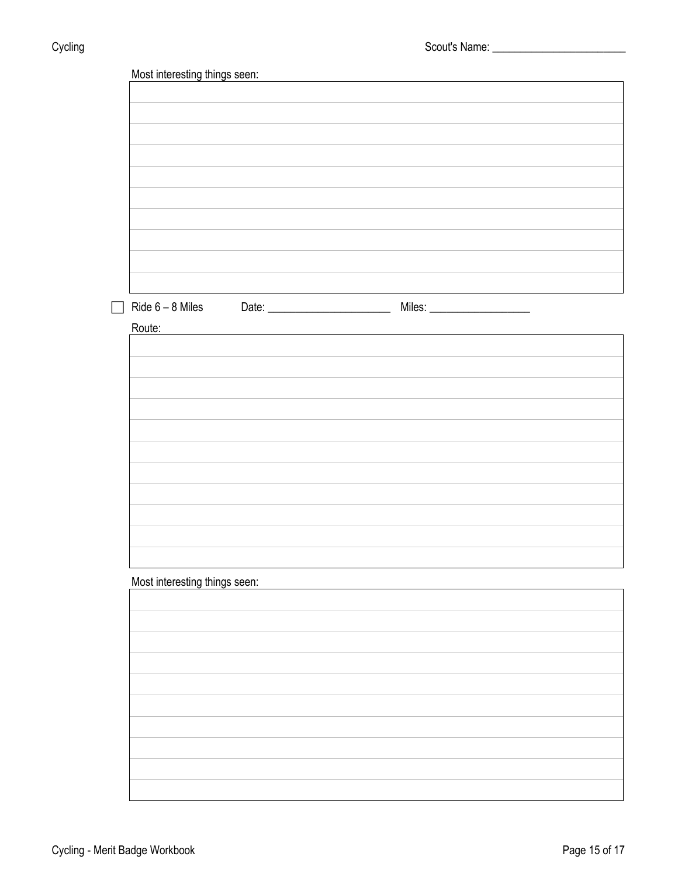| Most interesting things seen: |  |  |
|-------------------------------|--|--|
|                               |  |  |
|                               |  |  |
|                               |  |  |
|                               |  |  |
|                               |  |  |
|                               |  |  |
|                               |  |  |
|                               |  |  |
|                               |  |  |
|                               |  |  |
|                               |  |  |
|                               |  |  |
|                               |  |  |
| Route:                        |  |  |
|                               |  |  |
|                               |  |  |
|                               |  |  |
|                               |  |  |
|                               |  |  |
|                               |  |  |
|                               |  |  |
|                               |  |  |
|                               |  |  |
|                               |  |  |
|                               |  |  |
|                               |  |  |
|                               |  |  |
|                               |  |  |
| Most interesting things seen: |  |  |
|                               |  |  |
|                               |  |  |
|                               |  |  |
|                               |  |  |
|                               |  |  |
|                               |  |  |
|                               |  |  |
|                               |  |  |
|                               |  |  |
|                               |  |  |
|                               |  |  |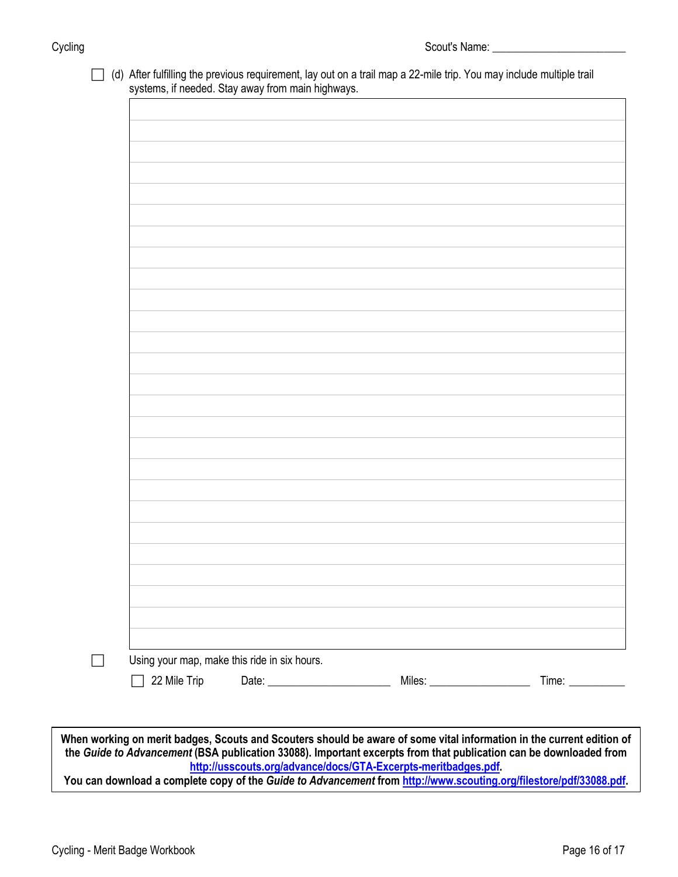(d) After fulfilling the previous requirement, lay out on a trail map a 22-mile trip. You may include multiple trail systems, if needed. Stay away from main highways.

|              | Using your map, make this ride in six hours. |  |
|--------------|----------------------------------------------|--|
| 22 Mile Trip |                                              |  |
|              |                                              |  |
|              |                                              |  |

**You can download a complete copy of the** *Guide to Advancement* **fro[m http://www.scouting.org/filestore/pdf/33088.pdf.](http://www.scouting.org/filestore/pdf/33088.pdf)**